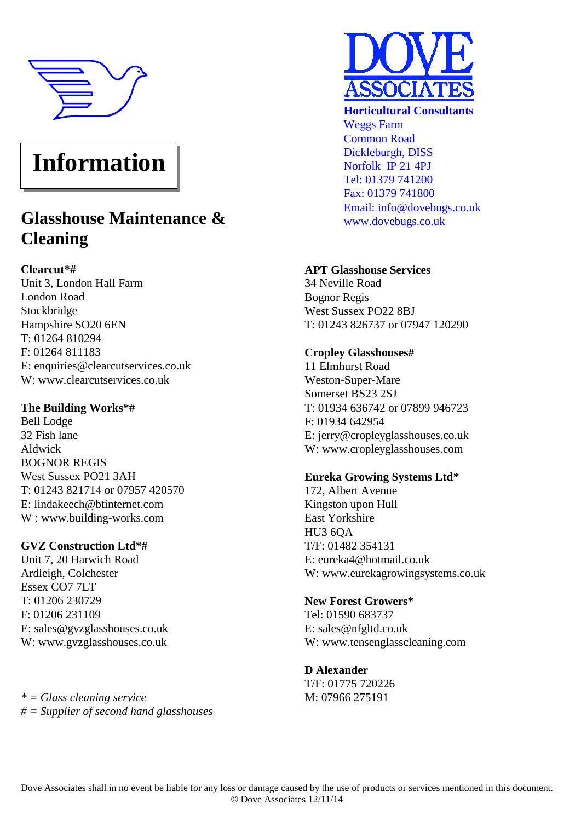

# **Information**

# **Glasshouse Maintenance & Cleaning**

# **Clearcut\*#**

Unit 3, London Hall Farm London Road Stockbridge Hampshire SO20 6EN T: 01264 810294 F: 01264 811183 E: enquiries@clearcutservices.co.uk W: www.clearcutservices.co.uk

## **The Building Works\*#**

Bell Lodge 32 Fish lane Aldwick BOGNOR REGIS West Sussex PO21 3AH T: 01243 821714 or 07957 420570 E: lindakeech@btinternet.com W : www.building-works.com

### **GVZ Construction Ltd\*#**

Unit 7, 20 Harwich Road Ardleigh, Colchester Essex CO7 7LT T: 01206 230729 F: 01206 231109 E: sales@gvzglasshouses.co.uk W: www.gvzglasshouses.co.uk

*\* = Glass cleaning service # = Supplier of second hand glasshouses*



**Horticultural Consultants** Weggs Farm Common Road Dickleburgh, DISS Norfolk IP 21 4PJ Tel: 01379 741200 Fax: 01379 741800 Email: info@dovebugs.co.uk www.dovebugs.co.uk

# **APT Glasshouse Services**

34 Neville Road Bognor Regis West Sussex PO22 8BJ T: 01243 826737 or 07947 120290

# **Cropley Glasshouses#**

11 Elmhurst Road Weston-Super-Mare Somerset BS23 2SJ T: 01934 636742 or 07899 946723 F: 01934 642954 E: jerry@cropleyglasshouses.co.uk W: www.cropleyglasshouses.com

# **Eureka Growing Systems Ltd\***

172, Albert Avenue Kingston upon Hull East Yorkshire HU3 6QA T/F: 01482 354131 E: eureka4@hotmail.co.uk W: www.eurekagrowingsystems.co.uk

### **New Forest Growers\***

Tel: 01590 683737 E: sales@nfgltd.co.uk W: www.tensenglasscleaning.com

### **D Alexander**

T/F: 01775 720226 M: 07966 275191